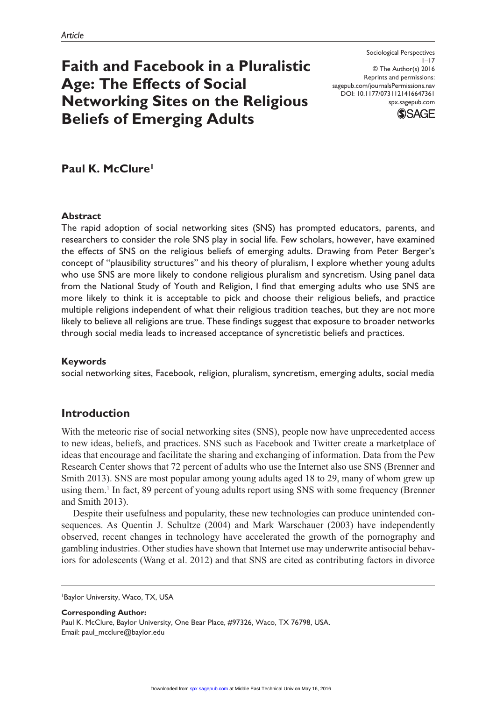# **Faith and Facebook in a Pluralistic Age: The Effects of Social Networking Sites on the Religious Beliefs of Emerging Adults**

Sociological Perspectives  $1 - 17$ © The Author(s) 2016 Reprints and permissions: sagepub.com/journalsPermissions.nav DOI: 10.1177/0731121416647361 spx.sagepub.com



**Paul K. McClure1**

## **Abstract**

The rapid adoption of social networking sites (SNS) has prompted educators, parents, and researchers to consider the role SNS play in social life. Few scholars, however, have examined the effects of SNS on the religious beliefs of emerging adults. Drawing from Peter Berger's concept of "plausibility structures" and his theory of pluralism, I explore whether young adults who use SNS are more likely to condone religious pluralism and syncretism. Using panel data from the National Study of Youth and Religion, I find that emerging adults who use SNS are more likely to think it is acceptable to pick and choose their religious beliefs, and practice multiple religions independent of what their religious tradition teaches, but they are not more likely to believe all religions are true. These findings suggest that exposure to broader networks through social media leads to increased acceptance of syncretistic beliefs and practices.

## **Keywords**

social networking sites, Facebook, religion, pluralism, syncretism, emerging adults, social media

# **Introduction**

With the meteoric rise of social networking sites (SNS), people now have unprecedented access to new ideas, beliefs, and practices. SNS such as Facebook and Twitter create a marketplace of ideas that encourage and facilitate the sharing and exchanging of information. Data from the Pew Research Center shows that 72 percent of adults who use the Internet also use SNS (Brenner and Smith 2013). SNS are most popular among young adults aged 18 to 29, many of whom grew up using them.1 In fact, 89 percent of young adults report using SNS with some frequency (Brenner and Smith 2013).

Despite their usefulness and popularity, these new technologies can produce unintended consequences. As Quentin J. Schultze (2004) and Mark Warschauer (2003) have independently observed, recent changes in technology have accelerated the growth of the pornography and gambling industries. Other studies have shown that Internet use may underwrite antisocial behaviors for adolescents (Wang et al. 2012) and that SNS are cited as contributing factors in divorce

**Corresponding Author:** Paul K. McClure, Baylor University, One Bear Place, #97326, Waco, TX 76798, USA. Email: [paul\\_mcclure@baylor.edu](mailto:paul_mcclure@baylor.edu)

<sup>1</sup>Baylor University, Waco, TX, USA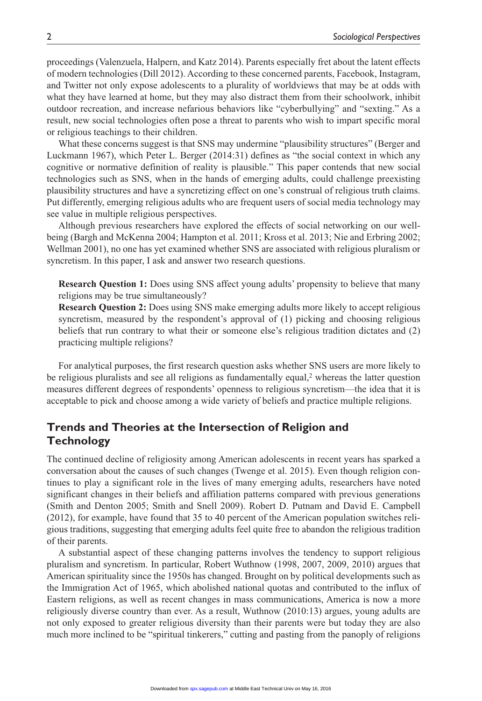proceedings (Valenzuela, Halpern, and Katz 2014). Parents especially fret about the latent effects of modern technologies (Dill 2012). According to these concerned parents, Facebook, Instagram, and Twitter not only expose adolescents to a plurality of worldviews that may be at odds with what they have learned at home, but they may also distract them from their schoolwork, inhibit outdoor recreation, and increase nefarious behaviors like "cyberbullying" and "sexting." As a result, new social technologies often pose a threat to parents who wish to impart specific moral or religious teachings to their children.

What these concerns suggest is that SNS may undermine "plausibility structures" (Berger and Luckmann 1967), which Peter L. Berger (2014:31) defines as "the social context in which any cognitive or normative definition of reality is plausible." This paper contends that new social technologies such as SNS, when in the hands of emerging adults, could challenge preexisting plausibility structures and have a syncretizing effect on one's construal of religious truth claims. Put differently, emerging religious adults who are frequent users of social media technology may see value in multiple religious perspectives.

Although previous researchers have explored the effects of social networking on our wellbeing (Bargh and McKenna 2004; Hampton et al. 2011; Kross et al. 2013; Nie and Erbring 2002; Wellman 2001), no one has yet examined whether SNS are associated with religious pluralism or syncretism. In this paper, I ask and answer two research questions.

**Research Question 1:** Does using SNS affect young adults' propensity to believe that many religions may be true simultaneously?

**Research Question 2:** Does using SNS make emerging adults more likely to accept religious syncretism, measured by the respondent's approval of (1) picking and choosing religious beliefs that run contrary to what their or someone else's religious tradition dictates and (2) practicing multiple religions?

For analytical purposes, the first research question asks whether SNS users are more likely to be religious pluralists and see all religions as fundamentally equal,<sup>2</sup> whereas the latter question measures different degrees of respondents' openness to religious syncretism—the idea that it is acceptable to pick and choose among a wide variety of beliefs and practice multiple religions.

# **Trends and Theories at the Intersection of Religion and Technology**

The continued decline of religiosity among American adolescents in recent years has sparked a conversation about the causes of such changes (Twenge et al. 2015). Even though religion continues to play a significant role in the lives of many emerging adults, researchers have noted significant changes in their beliefs and affiliation patterns compared with previous generations (Smith and Denton 2005; Smith and Snell 2009). Robert D. Putnam and David E. Campbell (2012), for example, have found that 35 to 40 percent of the American population switches religious traditions, suggesting that emerging adults feel quite free to abandon the religious tradition of their parents.

A substantial aspect of these changing patterns involves the tendency to support religious pluralism and syncretism. In particular, Robert Wuthnow (1998, 2007, 2009, 2010) argues that American spirituality since the 1950s has changed. Brought on by political developments such as the Immigration Act of 1965, which abolished national quotas and contributed to the influx of Eastern religions, as well as recent changes in mass communications, America is now a more religiously diverse country than ever. As a result, Wuthnow (2010:13) argues, young adults are not only exposed to greater religious diversity than their parents were but today they are also much more inclined to be "spiritual tinkerers," cutting and pasting from the panoply of religions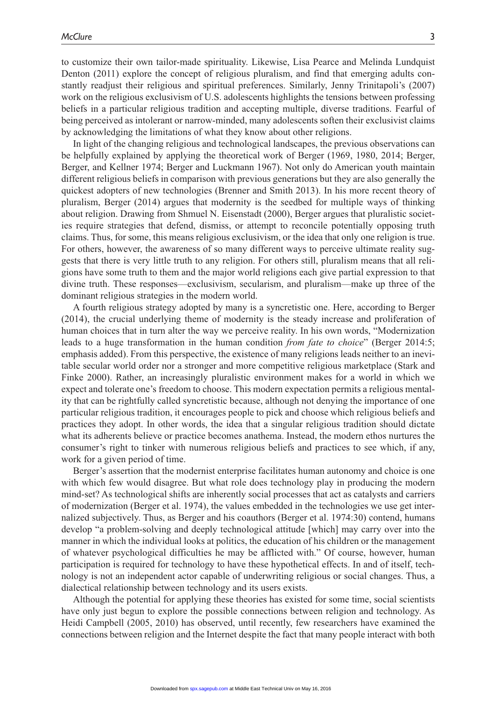to customize their own tailor-made spirituality. Likewise, Lisa Pearce and Melinda Lundquist Denton (2011) explore the concept of religious pluralism, and find that emerging adults constantly readjust their religious and spiritual preferences. Similarly, Jenny Trinitapoli's (2007) work on the religious exclusivism of U.S. adolescents highlights the tensions between professing beliefs in a particular religious tradition and accepting multiple, diverse traditions. Fearful of being perceived as intolerant or narrow-minded, many adolescents soften their exclusivist claims by acknowledging the limitations of what they know about other religions.

In light of the changing religious and technological landscapes, the previous observations can be helpfully explained by applying the theoretical work of Berger (1969, 1980, 2014; Berger, Berger, and Kellner 1974; Berger and Luckmann 1967). Not only do American youth maintain different religious beliefs in comparison with previous generations but they are also generally the quickest adopters of new technologies (Brenner and Smith 2013). In his more recent theory of pluralism, Berger (2014) argues that modernity is the seedbed for multiple ways of thinking about religion. Drawing from Shmuel N. Eisenstadt (2000), Berger argues that pluralistic societies require strategies that defend, dismiss, or attempt to reconcile potentially opposing truth claims. Thus, for some, this means religious exclusivism, or the idea that only one religion is true. For others, however, the awareness of so many different ways to perceive ultimate reality suggests that there is very little truth to any religion. For others still, pluralism means that all religions have some truth to them and the major world religions each give partial expression to that divine truth. These responses—exclusivism, secularism, and pluralism—make up three of the dominant religious strategies in the modern world.

A fourth religious strategy adopted by many is a syncretistic one. Here, according to Berger (2014), the crucial underlying theme of modernity is the steady increase and proliferation of human choices that in turn alter the way we perceive reality. In his own words, "Modernization leads to a huge transformation in the human condition *from fate to choice*" (Berger 2014:5; emphasis added). From this perspective, the existence of many religions leads neither to an inevitable secular world order nor a stronger and more competitive religious marketplace (Stark and Finke 2000). Rather, an increasingly pluralistic environment makes for a world in which we expect and tolerate one's freedom to choose. This modern expectation permits a religious mentality that can be rightfully called syncretistic because, although not denying the importance of one particular religious tradition, it encourages people to pick and choose which religious beliefs and practices they adopt. In other words, the idea that a singular religious tradition should dictate what its adherents believe or practice becomes anathema. Instead, the modern ethos nurtures the consumer's right to tinker with numerous religious beliefs and practices to see which, if any, work for a given period of time.

Berger's assertion that the modernist enterprise facilitates human autonomy and choice is one with which few would disagree. But what role does technology play in producing the modern mind-set? As technological shifts are inherently social processes that act as catalysts and carriers of modernization (Berger et al. 1974), the values embedded in the technologies we use get internalized subjectively. Thus, as Berger and his coauthors (Berger et al. 1974:30) contend, humans develop "a problem-solving and deeply technological attitude [which] may carry over into the manner in which the individual looks at politics, the education of his children or the management of whatever psychological difficulties he may be afflicted with." Of course, however, human participation is required for technology to have these hypothetical effects. In and of itself, technology is not an independent actor capable of underwriting religious or social changes. Thus, a dialectical relationship between technology and its users exists.

Although the potential for applying these theories has existed for some time, social scientists have only just begun to explore the possible connections between religion and technology. As Heidi Campbell (2005, 2010) has observed, until recently, few researchers have examined the connections between religion and the Internet despite the fact that many people interact with both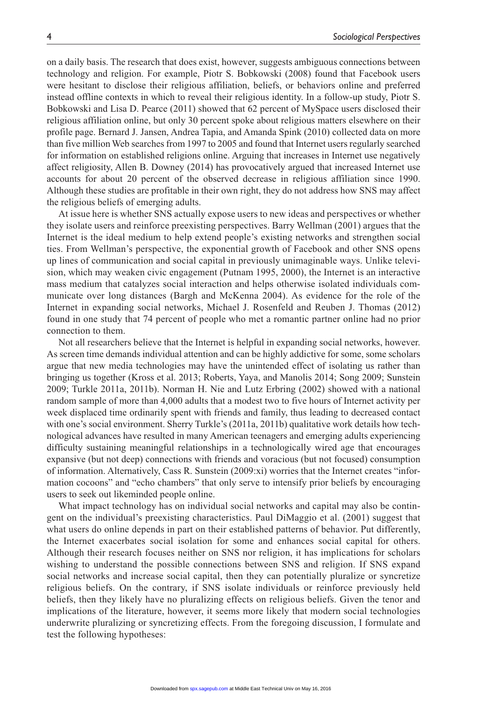on a daily basis. The research that does exist, however, suggests ambiguous connections between technology and religion. For example, Piotr S. Bobkowski (2008) found that Facebook users were hesitant to disclose their religious affiliation, beliefs, or behaviors online and preferred instead offline contexts in which to reveal their religious identity. In a follow-up study, Piotr S. Bobkowski and Lisa D. Pearce (2011) showed that 62 percent of MySpace users disclosed their religious affiliation online, but only 30 percent spoke about religious matters elsewhere on their profile page. Bernard J. Jansen, Andrea Tapia, and Amanda Spink (2010) collected data on more than five million Web searches from 1997 to 2005 and found that Internet users regularly searched for information on established religions online. Arguing that increases in Internet use negatively affect religiosity, Allen B. Downey (2014) has provocatively argued that increased Internet use accounts for about 20 percent of the observed decrease in religious affiliation since 1990. Although these studies are profitable in their own right, they do not address how SNS may affect the religious beliefs of emerging adults.

At issue here is whether SNS actually expose users to new ideas and perspectives or whether they isolate users and reinforce preexisting perspectives. Barry Wellman (2001) argues that the Internet is the ideal medium to help extend people's existing networks and strengthen social ties. From Wellman's perspective, the exponential growth of Facebook and other SNS opens up lines of communication and social capital in previously unimaginable ways. Unlike television, which may weaken civic engagement (Putnam 1995, 2000), the Internet is an interactive mass medium that catalyzes social interaction and helps otherwise isolated individuals communicate over long distances (Bargh and McKenna 2004). As evidence for the role of the Internet in expanding social networks, Michael J. Rosenfeld and Reuben J. Thomas (2012) found in one study that 74 percent of people who met a romantic partner online had no prior connection to them.

Not all researchers believe that the Internet is helpful in expanding social networks, however. As screen time demands individual attention and can be highly addictive for some, some scholars argue that new media technologies may have the unintended effect of isolating us rather than bringing us together (Kross et al. 2013; Roberts, Yaya, and Manolis 2014; Song 2009; Sunstein 2009; Turkle 2011a, 2011b). Norman H. Nie and Lutz Erbring (2002) showed with a national random sample of more than 4,000 adults that a modest two to five hours of Internet activity per week displaced time ordinarily spent with friends and family, thus leading to decreased contact with one's social environment. Sherry Turkle's (2011a, 2011b) qualitative work details how technological advances have resulted in many American teenagers and emerging adults experiencing difficulty sustaining meaningful relationships in a technologically wired age that encourages expansive (but not deep) connections with friends and voracious (but not focused) consumption of information. Alternatively, Cass R. Sunstein (2009:xi) worries that the Internet creates "information cocoons" and "echo chambers" that only serve to intensify prior beliefs by encouraging users to seek out likeminded people online.

What impact technology has on individual social networks and capital may also be contingent on the individual's preexisting characteristics. Paul DiMaggio et al. (2001) suggest that what users do online depends in part on their established patterns of behavior. Put differently, the Internet exacerbates social isolation for some and enhances social capital for others. Although their research focuses neither on SNS nor religion, it has implications for scholars wishing to understand the possible connections between SNS and religion. If SNS expand social networks and increase social capital, then they can potentially pluralize or syncretize religious beliefs. On the contrary, if SNS isolate individuals or reinforce previously held beliefs, then they likely have no pluralizing effects on religious beliefs. Given the tenor and implications of the literature, however, it seems more likely that modern social technologies underwrite pluralizing or syncretizing effects. From the foregoing discussion, I formulate and test the following hypotheses: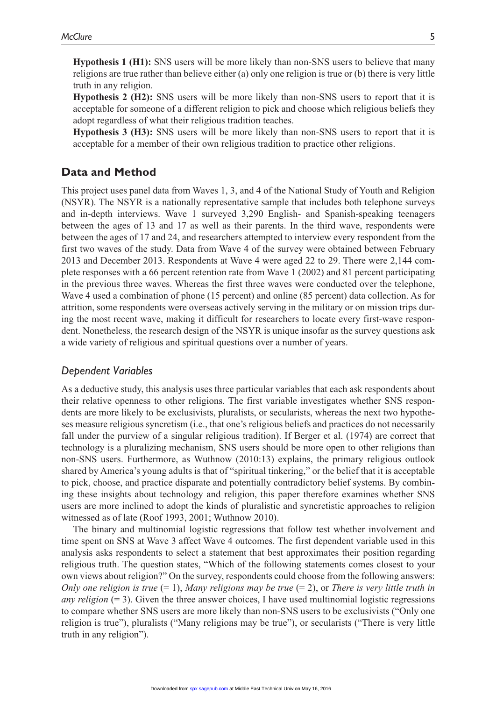**Hypothesis 1 (H1):** SNS users will be more likely than non-SNS users to believe that many religions are true rather than believe either (a) only one religion is true or (b) there is very little truth in any religion.

**Hypothesis 2 (H2):** SNS users will be more likely than non-SNS users to report that it is acceptable for someone of a different religion to pick and choose which religious beliefs they adopt regardless of what their religious tradition teaches.

**Hypothesis 3 (H3):** SNS users will be more likely than non-SNS users to report that it is acceptable for a member of their own religious tradition to practice other religions.

# **Data and Method**

This project uses panel data from Waves 1, 3, and 4 of the National Study of Youth and Religion (NSYR). The NSYR is a nationally representative sample that includes both telephone surveys and in-depth interviews. Wave 1 surveyed 3,290 English- and Spanish-speaking teenagers between the ages of 13 and 17 as well as their parents. In the third wave, respondents were between the ages of 17 and 24, and researchers attempted to interview every respondent from the first two waves of the study. Data from Wave 4 of the survey were obtained between February 2013 and December 2013. Respondents at Wave 4 were aged 22 to 29. There were 2,144 complete responses with a 66 percent retention rate from Wave 1 (2002) and 81 percent participating in the previous three waves. Whereas the first three waves were conducted over the telephone, Wave 4 used a combination of phone (15 percent) and online (85 percent) data collection. As for attrition, some respondents were overseas actively serving in the military or on mission trips during the most recent wave, making it difficult for researchers to locate every first-wave respondent. Nonetheless, the research design of the NSYR is unique insofar as the survey questions ask a wide variety of religious and spiritual questions over a number of years.

## *Dependent Variables*

As a deductive study, this analysis uses three particular variables that each ask respondents about their relative openness to other religions. The first variable investigates whether SNS respondents are more likely to be exclusivists, pluralists, or secularists, whereas the next two hypotheses measure religious syncretism (i.e., that one's religious beliefs and practices do not necessarily fall under the purview of a singular religious tradition). If Berger et al. (1974) are correct that technology is a pluralizing mechanism, SNS users should be more open to other religions than non-SNS users. Furthermore, as Wuthnow (2010:13) explains, the primary religious outlook shared by America's young adults is that of "spiritual tinkering," or the belief that it is acceptable to pick, choose, and practice disparate and potentially contradictory belief systems. By combining these insights about technology and religion, this paper therefore examines whether SNS users are more inclined to adopt the kinds of pluralistic and syncretistic approaches to religion witnessed as of late (Roof 1993, 2001; Wuthnow 2010).

The binary and multinomial logistic regressions that follow test whether involvement and time spent on SNS at Wave 3 affect Wave 4 outcomes. The first dependent variable used in this analysis asks respondents to select a statement that best approximates their position regarding religious truth. The question states, "Which of the following statements comes closest to your own views about religion?" On the survey, respondents could choose from the following answers: *Only one religion is true* (= 1), *Many religions may be true* (= 2), or *There is very little truth in any religion* (= 3). Given the three answer choices, I have used multinomial logistic regressions to compare whether SNS users are more likely than non-SNS users to be exclusivists ("Only one religion is true"), pluralists ("Many religions may be true"), or secularists ("There is very little truth in any religion").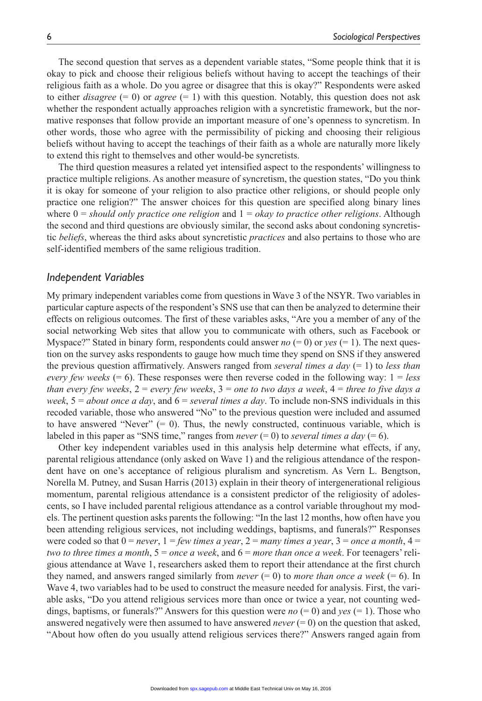The second question that serves as a dependent variable states, "Some people think that it is okay to pick and choose their religious beliefs without having to accept the teachings of their religious faith as a whole. Do you agree or disagree that this is okay?" Respondents were asked to either *disagree*  $(= 0)$  or *agree*  $(= 1)$  with this question. Notably, this question does not ask whether the respondent actually approaches religion with a syncretistic framework, but the normative responses that follow provide an important measure of one's openness to syncretism. In other words, those who agree with the permissibility of picking and choosing their religious beliefs without having to accept the teachings of their faith as a whole are naturally more likely to extend this right to themselves and other would-be syncretists.

The third question measures a related yet intensified aspect to the respondents' willingness to practice multiple religions. As another measure of syncretism, the question states, "Do you think it is okay for someone of your religion to also practice other religions, or should people only practice one religion?" The answer choices for this question are specified along binary lines where 0 = *should only practice one religion* and 1 = *okay to practice other religions*. Although the second and third questions are obviously similar, the second asks about condoning syncretistic *beliefs*, whereas the third asks about syncretistic *practices* and also pertains to those who are self-identified members of the same religious tradition.

#### *Independent Variables*

My primary independent variables come from questions in Wave 3 of the NSYR. Two variables in particular capture aspects of the respondent's SNS use that can then be analyzed to determine their effects on religious outcomes. The first of these variables asks, "Are you a member of any of the social networking Web sites that allow you to communicate with others, such as Facebook or Myspace?" Stated in binary form, respondents could answer  $no (= 0)$  or  $yes (= 1)$ . The next question on the survey asks respondents to gauge how much time they spend on SNS if they answered the previous question affirmatively. Answers ranged from *several times a day* (= 1) to *less than every few weeks* (= 6). These responses were then reverse coded in the following way: 1 = *less than every few weeks*, 2 = *every few weeks*, 3 = *one to two days a week*, 4 = *three to five days a week*, 5 = *about once a day*, and 6 = *several times a day*. To include non-SNS individuals in this recoded variable, those who answered "No" to the previous question were included and assumed to have answered "Never"  $(= 0)$ . Thus, the newly constructed, continuous variable, which is labeled in this paper as "SNS time," ranges from *never*  $(= 0)$  to *several times a day*  $(= 6)$ .

Other key independent variables used in this analysis help determine what effects, if any, parental religious attendance (only asked on Wave 1) and the religious attendance of the respondent have on one's acceptance of religious pluralism and syncretism. As Vern L. Bengtson, Norella M. Putney, and Susan Harris (2013) explain in their theory of intergenerational religious momentum, parental religious attendance is a consistent predictor of the religiosity of adolescents, so I have included parental religious attendance as a control variable throughout my models. The pertinent question asks parents the following: "In the last 12 months, how often have you been attending religious services, not including weddings, baptisms, and funerals?" Responses were coded so that  $0 = never$ ,  $1 = few \ times a \ year$ ,  $2 = many \ times a \ year$ ,  $3 = once a month$ ,  $4 =$ *two to three times a month*, 5 = *once a week*, and 6 = *more than once a week*. For teenagers' religious attendance at Wave 1, researchers asked them to report their attendance at the first church they named, and answers ranged similarly from *never*  $(= 0)$  to *more than once a week*  $(= 6)$ . In Wave 4, two variables had to be used to construct the measure needed for analysis. First, the variable asks, "Do you attend religious services more than once or twice a year, not counting weddings, baptisms, or funerals?" Answers for this question were *no* (= 0) and *yes* (= 1). Those who answered negatively were then assumed to have answered *never* (= 0) on the question that asked, "About how often do you usually attend religious services there?" Answers ranged again from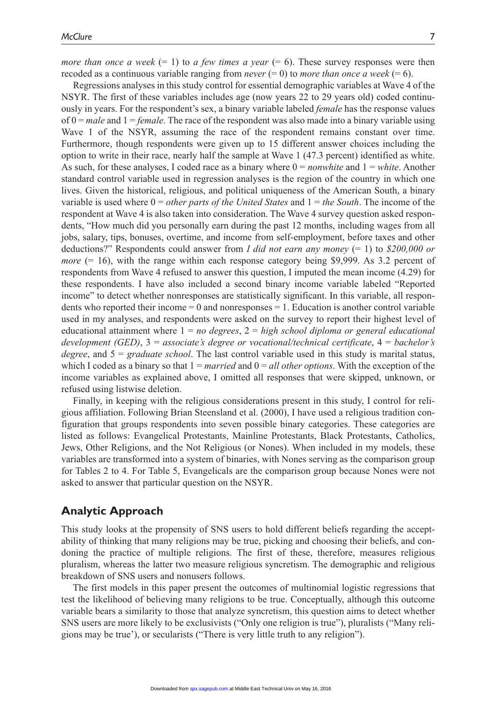*more than once a week*  $(= 1)$  to *a few times a year*  $(= 6)$ . These survey responses were then recoded as a continuous variable ranging from *never*  $(= 0)$  to *more than once a week*  $(= 6)$ .

Regressions analyses in this study control for essential demographic variables at Wave 4 of the NSYR. The first of these variables includes age (now years 22 to 29 years old) coded continuously in years. For the respondent's sex, a binary variable labeled *female* has the response values of 0 = *male* and 1 = *female*. The race of the respondent was also made into a binary variable using Wave 1 of the NSYR, assuming the race of the respondent remains constant over time. Furthermore, though respondents were given up to 15 different answer choices including the option to write in their race, nearly half the sample at Wave 1 (47.3 percent) identified as white. As such, for these analyses, I coded race as a binary where  $0 = nonwhite$  and  $1 = white$ . Another standard control variable used in regression analyses is the region of the country in which one lives. Given the historical, religious, and political uniqueness of the American South, a binary variable is used where 0 = *other parts of the United States* and 1 = *the South*. The income of the respondent at Wave 4 is also taken into consideration. The Wave 4 survey question asked respondents, "How much did you personally earn during the past 12 months, including wages from all jobs, salary, tips, bonuses, overtime, and income from self-employment, before taxes and other deductions?" Respondents could answer from *I did not earn any money* (= 1) to *\$200,000 or more* (= 16), with the range within each response category being \$9,999. As 3.2 percent of respondents from Wave 4 refused to answer this question, I imputed the mean income (4.29) for these respondents. I have also included a second binary income variable labeled "Reported income" to detect whether nonresponses are statistically significant. In this variable, all respondents who reported their income  $= 0$  and nonresponses  $= 1$ . Education is another control variable used in my analyses, and respondents were asked on the survey to report their highest level of educational attainment where 1 = *no degrees*, 2 = *high school diploma or general educational development (GED)*, 3 = *associate's degree or vocational/technical certificate*, 4 = *bachelor's degree*, and 5 = *graduate school*. The last control variable used in this study is marital status, which I coded as a binary so that  $1 = married$  and  $0 = all other options$ . With the exception of the income variables as explained above, I omitted all responses that were skipped, unknown, or refused using listwise deletion.

Finally, in keeping with the religious considerations present in this study, I control for religious affiliation. Following Brian Steensland et al. (2000), I have used a religious tradition configuration that groups respondents into seven possible binary categories. These categories are listed as follows: Evangelical Protestants, Mainline Protestants, Black Protestants, Catholics, Jews, Other Religions, and the Not Religious (or Nones). When included in my models, these variables are transformed into a system of binaries, with Nones serving as the comparison group for Tables 2 to 4. For Table 5, Evangelicals are the comparison group because Nones were not asked to answer that particular question on the NSYR.

# **Analytic Approach**

This study looks at the propensity of SNS users to hold different beliefs regarding the acceptability of thinking that many religions may be true, picking and choosing their beliefs, and condoning the practice of multiple religions. The first of these, therefore, measures religious pluralism, whereas the latter two measure religious syncretism. The demographic and religious breakdown of SNS users and nonusers follows.

The first models in this paper present the outcomes of multinomial logistic regressions that test the likelihood of believing many religions to be true. Conceptually, although this outcome variable bears a similarity to those that analyze syncretism, this question aims to detect whether SNS users are more likely to be exclusivists ("Only one religion is true"), pluralists ("Many religions may be true'), or secularists ("There is very little truth to any religion").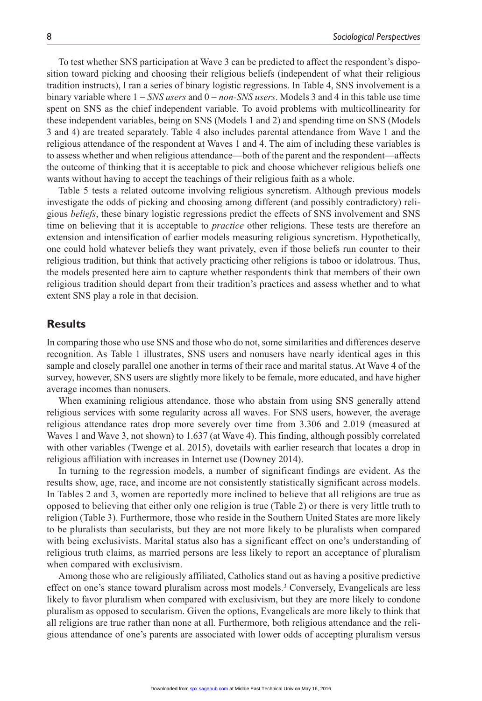To test whether SNS participation at Wave 3 can be predicted to affect the respondent's disposition toward picking and choosing their religious beliefs (independent of what their religious tradition instructs), I ran a series of binary logistic regressions. In Table 4, SNS involvement is a binary variable where  $1 = SNS$  *users* and  $0 = non-SNS$  *users*. Models 3 and 4 in this table use time spent on SNS as the chief independent variable. To avoid problems with multicollinearity for these independent variables, being on SNS (Models 1 and 2) and spending time on SNS (Models 3 and 4) are treated separately. Table 4 also includes parental attendance from Wave 1 and the religious attendance of the respondent at Waves 1 and 4. The aim of including these variables is to assess whether and when religious attendance—both of the parent and the respondent—affects the outcome of thinking that it is acceptable to pick and choose whichever religious beliefs one wants without having to accept the teachings of their religious faith as a whole.

Table 5 tests a related outcome involving religious syncretism. Although previous models investigate the odds of picking and choosing among different (and possibly contradictory) religious *beliefs*, these binary logistic regressions predict the effects of SNS involvement and SNS time on believing that it is acceptable to *practice* other religions. These tests are therefore an extension and intensification of earlier models measuring religious syncretism. Hypothetically, one could hold whatever beliefs they want privately, even if those beliefs run counter to their religious tradition, but think that actively practicing other religions is taboo or idolatrous. Thus, the models presented here aim to capture whether respondents think that members of their own religious tradition should depart from their tradition's practices and assess whether and to what extent SNS play a role in that decision.

# **Results**

In comparing those who use SNS and those who do not, some similarities and differences deserve recognition. As Table 1 illustrates, SNS users and nonusers have nearly identical ages in this sample and closely parallel one another in terms of their race and marital status. At Wave 4 of the survey, however, SNS users are slightly more likely to be female, more educated, and have higher average incomes than nonusers.

When examining religious attendance, those who abstain from using SNS generally attend religious services with some regularity across all waves. For SNS users, however, the average religious attendance rates drop more severely over time from 3.306 and 2.019 (measured at Waves 1 and Wave 3, not shown) to 1.637 (at Wave 4). This finding, although possibly correlated with other variables (Twenge et al. 2015), dovetails with earlier research that locates a drop in religious affiliation with increases in Internet use (Downey 2014).

In turning to the regression models, a number of significant findings are evident. As the results show, age, race, and income are not consistently statistically significant across models. In Tables 2 and 3, women are reportedly more inclined to believe that all religions are true as opposed to believing that either only one religion is true (Table 2) or there is very little truth to religion (Table 3). Furthermore, those who reside in the Southern United States are more likely to be pluralists than secularists, but they are not more likely to be pluralists when compared with being exclusivists. Marital status also has a significant effect on one's understanding of religious truth claims, as married persons are less likely to report an acceptance of pluralism when compared with exclusivism.

Among those who are religiously affiliated, Catholics stand out as having a positive predictive effect on one's stance toward pluralism across most models.3 Conversely, Evangelicals are less likely to favor pluralism when compared with exclusivism, but they are more likely to condone pluralism as opposed to secularism. Given the options, Evangelicals are more likely to think that all religions are true rather than none at all. Furthermore, both religious attendance and the religious attendance of one's parents are associated with lower odds of accepting pluralism versus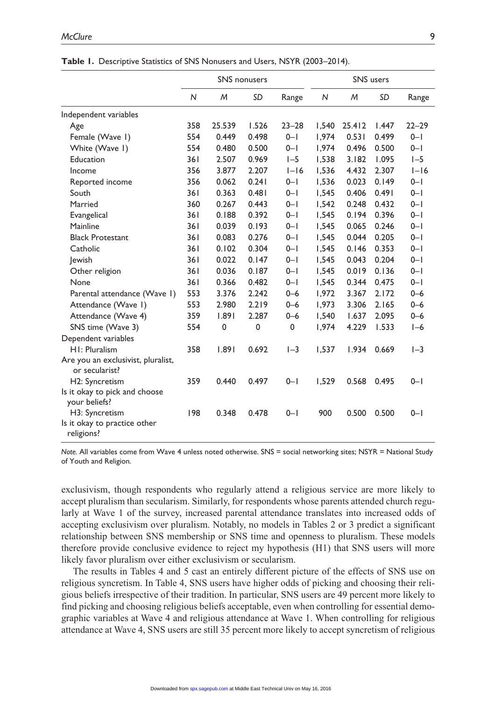|                                                      | <b>SNS</b> nonusers |        |             | SNS users |              |        |           |           |
|------------------------------------------------------|---------------------|--------|-------------|-----------|--------------|--------|-----------|-----------|
|                                                      | N                   | M      | SD          | Range     | $\mathsf{N}$ | M      | <b>SD</b> | Range     |
| Independent variables                                |                     |        |             |           |              |        |           |           |
| Age                                                  | 358                 | 25.539 | 1.526       | $23 - 28$ | 1.540        | 25.412 | 1.447     | $22 - 29$ |
| Female (Wave 1)                                      | 554                 | 0.449  | 0.498       | $0 - 1$   | 1,974        | 0.531  | 0.499     | $0 - 1$   |
| White (Wave I)                                       | 554                 | 0.480  | 0.500       | $0 - 1$   | 1,974        | 0.496  | 0.500     | $0 - 1$   |
| Education                                            | 361                 | 2.507  | 0.969       | $I - 5$   | 1,538        | 3.182  | 1.095     | $I - 5$   |
| Income                                               | 356                 | 3.877  | 2.207       | $I-I6$    | 1,536        | 4.432  | 2.307     | $I-I6$    |
| Reported income                                      | 356                 | 0.062  | 0.241       | $0 - 1$   | 1,536        | 0.023  | 0.149     | $0 - 1$   |
| South                                                | 361                 | 0.363  | 0.481       | $0 - 1$   | 1,545        | 0.406  | 0.491     | $0 - 1$   |
| Married                                              | 360                 | 0.267  | 0.443       | $0 - 1$   | 1,542        | 0.248  | 0.432     | $0 - 1$   |
| Evangelical                                          | 361                 | 0.188  | 0.392       | $0 - 1$   | 1,545        | 0.194  | 0.396     | $0 - 1$   |
| Mainline                                             | 361                 | 0.039  | 0.193       | $0 - 1$   | 1,545        | 0.065  | 0.246     | $0 - 1$   |
| <b>Black Protestant</b>                              | 361                 | 0.083  | 0.276       | $0 - 1$   | 1,545        | 0.044  | 0.205     | $0 - 1$   |
| Catholic                                             | 361                 | 0.102  | 0.304       | $0 - 1$   | 1.545        | 0.146  | 0.353     | $0 - 1$   |
| Jewish                                               | 361                 | 0.022  | 0.147       | $0 - 1$   | 1,545        | 0.043  | 0.204     | $0 - 1$   |
| Other religion                                       | 361                 | 0.036  | 0.187       | $0 - 1$   | 1,545        | 0.019  | 0.136     | $0 - 1$   |
| None                                                 | 361                 | 0.366  | 0.482       | $0 - 1$   | 1,545        | 0.344  | 0.475     | $0 - 1$   |
| Parental attendance (Wave 1)                         | 553                 | 3.376  | 2.242       | $0 - 6$   | 1,972        | 3.367  | 2.172     | $0 - 6$   |
| Attendance (Wave I)                                  | 553                 | 2.980  | 2.219       | $0 - 6$   | 1,973        | 3.306  | 2.165     | $0 - 6$   |
| Attendance (Wave 4)                                  | 359                 | 1.891  | 2.287       | $0 - 6$   | 1,540        | 1.637  | 2.095     | $0 - 6$   |
| SNS time (Wave 3)                                    | 554                 | 0      | $\mathbf 0$ | 0         | 1,974        | 4.229  | 1.533     | $I-6$     |
| Dependent variables                                  |                     |        |             |           |              |        |           |           |
| H1: Pluralism                                        | 358                 | 1.891  | 0.692       | $I - 3$   | 1,537        | 1.934  | 0.669     | $I - 3$   |
| Are you an exclusivist, pluralist,<br>or secularist? |                     |        |             |           |              |        |           |           |
| H2: Syncretism                                       | 359                 | 0.440  | 0.497       | $0 - 1$   | 1,529        | 0.568  | 0.495     | $0 - 1$   |
| Is it okay to pick and choose<br>your beliefs?       |                     |        |             |           |              |        |           |           |
| H3: Syncretism                                       | 198                 | 0.348  | 0.478       | $0 - 1$   | 900          | 0.500  | 0.500     | $0 - 1$   |
| Is it okay to practice other<br>religions?           |                     |        |             |           |              |        |           |           |

|  |  |  |  |  |  | <b>Table 1.</b> Descriptive Statistics of SNS Nonusers and Users, NSYR (2003–2014). |
|--|--|--|--|--|--|-------------------------------------------------------------------------------------|
|--|--|--|--|--|--|-------------------------------------------------------------------------------------|

*Note.* All variables come from Wave 4 unless noted otherwise. SNS = social networking sites; NSYR = National Study of Youth and Religion.

exclusivism, though respondents who regularly attend a religious service are more likely to accept pluralism than secularism. Similarly, for respondents whose parents attended church regularly at Wave 1 of the survey, increased parental attendance translates into increased odds of accepting exclusivism over pluralism. Notably, no models in Tables 2 or 3 predict a significant relationship between SNS membership or SNS time and openness to pluralism. These models therefore provide conclusive evidence to reject my hypothesis (H1) that SNS users will more likely favor pluralism over either exclusivism or secularism.

The results in Tables 4 and 5 cast an entirely different picture of the effects of SNS use on religious syncretism. In Table 4, SNS users have higher odds of picking and choosing their religious beliefs irrespective of their tradition. In particular, SNS users are 49 percent more likely to find picking and choosing religious beliefs acceptable, even when controlling for essential demographic variables at Wave 4 and religious attendance at Wave 1. When controlling for religious attendance at Wave 4, SNS users are still 35 percent more likely to accept syncretism of religious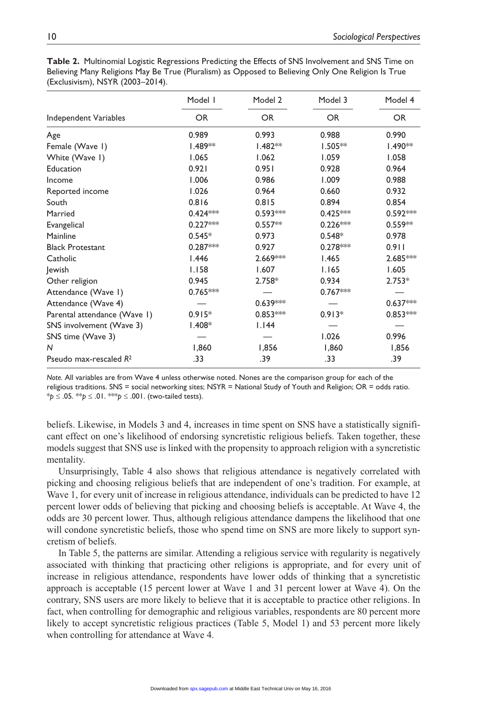|                              | Model I    | Model 2    | Model 3    | Model 4    |  |
|------------------------------|------------|------------|------------|------------|--|
| Independent Variables        | <b>OR</b>  | <b>OR</b>  | <b>OR</b>  | OR.        |  |
| Age                          | 0.989      | 0.993      | 0.988      | 0.990      |  |
| Female (Wave 1)              | $1.489**$  | $1.482**$  | $1.505**$  | $1.490**$  |  |
| White (Wave I)               | 1.065      | 1.062      | 1.059      | 1.058      |  |
| Education                    | 0.921      | 0.951      | 0.928      | 0.964      |  |
| Income                       | 1.006      | 0.986      | 1.009      | 0.988      |  |
| Reported income              | 1.026      | 0.964      | 0.660      | 0.932      |  |
| South                        | 0.816      | 0.815      | 0.894      | 0.854      |  |
| Married                      | $0.424***$ | $0.593***$ | $0.425***$ | $0.592***$ |  |
| Evangelical                  | $0.227***$ | $0.557**$  | $0.226***$ | $0.559**$  |  |
| Mainline                     | $0.545*$   | 0.973      | $0.548*$   | 0.978      |  |
| <b>Black Protestant</b>      | $0.287***$ | 0.927      | $0.278***$ | 0.911      |  |
| Catholic                     | 1.446      | 2.669***   | 1.465      | 2.685***   |  |
| Jewish                       | 1.158      | 1.607      | 1.165      | 1.605      |  |
| Other religion               | 0.945      | $2.758*$   | 0.934      | $2.753*$   |  |
| Attendance (Wave I)          | $0.765***$ |            | $0.767***$ |            |  |
| Attendance (Wave 4)          |            | $0.639***$ |            | $0.637***$ |  |
| Parental attendance (Wave I) | $0.915*$   | $0.853***$ | $0.913*$   | $0.853***$ |  |
| SNS involvement (Wave 3)     | $1.408*$   | 1.144      |            |            |  |
| SNS time (Wave 3)            |            |            | 1.026      | 0.996      |  |
| N                            | 1,860      | 1,856      | 1,860      | 1,856      |  |
| Pseudo max-rescaled $R^2$    | .33        | .39        | .33        | .39        |  |

**Table 2.** Multinomial Logistic Regressions Predicting the Effects of SNS Involvement and SNS Time on Believing Many Religions May Be True (Pluralism) as Opposed to Believing Only One Religion Is True (Exclusivism), NSYR (2003–2014).

*Note.* All variables are from Wave 4 unless otherwise noted. Nones are the comparison group for each of the religious traditions. SNS = social networking sites; NSYR = National Study of Youth and Religion; OR = odds ratio. \**p* ≤ .05. \*\**p* ≤ .01. \*\*\**p* ≤ .001. (two-tailed tests).

beliefs. Likewise, in Models 3 and 4, increases in time spent on SNS have a statistically significant effect on one's likelihood of endorsing syncretistic religious beliefs. Taken together, these models suggest that SNS use is linked with the propensity to approach religion with a syncretistic mentality.

Unsurprisingly, Table 4 also shows that religious attendance is negatively correlated with picking and choosing religious beliefs that are independent of one's tradition. For example, at Wave 1, for every unit of increase in religious attendance, individuals can be predicted to have 12 percent lower odds of believing that picking and choosing beliefs is acceptable. At Wave 4, the odds are 30 percent lower. Thus, although religious attendance dampens the likelihood that one will condone syncretistic beliefs, those who spend time on SNS are more likely to support syncretism of beliefs.

In Table 5, the patterns are similar. Attending a religious service with regularity is negatively associated with thinking that practicing other religions is appropriate, and for every unit of increase in religious attendance, respondents have lower odds of thinking that a syncretistic approach is acceptable (15 percent lower at Wave 1 and 31 percent lower at Wave 4). On the contrary, SNS users are more likely to believe that it is acceptable to practice other religions. In fact, when controlling for demographic and religious variables, respondents are 80 percent more likely to accept syncretistic religious practices (Table 5, Model 1) and 53 percent more likely when controlling for attendance at Wave 4.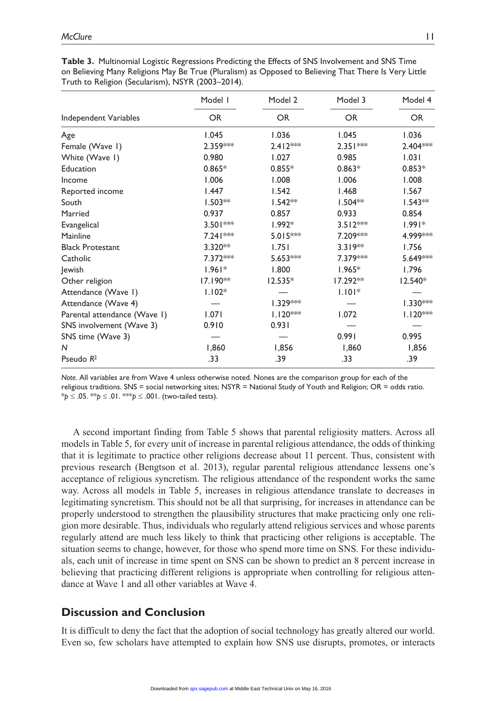|                              | Model I    | Model 2    | Model 3    | Model 4    |
|------------------------------|------------|------------|------------|------------|
| Independent Variables        | OR.        | <b>OR</b>  | <b>OR</b>  | <b>OR</b>  |
| Age                          | 1.045      | 1.036      | 1.045      | 1.036      |
| Female (Wave 1)              | $2.359***$ | $2.412***$ | $2.351***$ | $2.404***$ |
| White (Wave I)               | 0.980      | 1.027      | 0.985      | 1.031      |
| Education                    | $0.865*$   | $0.855*$   | $0.863*$   | $0.853*$   |
| Income                       | 1.006      | 1.008      | 1.006      | 1.008      |
| Reported income              | 1.447      | 1.542      | 1.468      | 1.567      |
| South                        | $1.503**$  | $1.542**$  | $1.504***$ | $1.543**$  |
| Married                      | 0.937      | 0.857      | 0.933      | 0.854      |
| Evangelical                  | 3.501***   | $1.992*$   | $3.512***$ | $1.991*$   |
| Mainline                     | $7.241***$ | $5.015***$ | 7.209***   | 4.999***   |
| <b>Black Protestant</b>      | $3.320**$  | 1.751      | $3.319**$  | 1.756      |
| Catholic                     | 7.372 **   | $5.653***$ | 7.379***   | 5.649***   |
| Jewish                       | $1.961*$   | 1.800      | $1.965*$   | 1.796      |
| Other religion               | $17.190**$ | $12.535*$  | $17.292**$ | 12.540*    |
| Attendance (Wave I)          | $1.102*$   |            | $1.101*$   |            |
| Attendance (Wave 4)          |            | $1.329***$ |            | $1.330***$ |
| Parental attendance (Wave 1) | 1.071      | $1.120***$ | 1.072      | $1.120***$ |
| SNS involvement (Wave 3)     | 0.910      | 0.931      |            |            |
| SNS time (Wave 3)            |            |            | 0.991      | 0.995      |
| N                            | 1,860      | 1,856      | 1,860      | 1,856      |
| Pseudo $R^2$                 | .33        | .39        | .33        | .39        |

**Table 3.** Multinomial Logistic Regressions Predicting the Effects of SNS Involvement and SNS Time on Believing Many Religions May Be True (Pluralism) as Opposed to Believing That There Is Very Little Truth to Religion (Secularism), NSYR (2003–2014).

*Note.* All variables are from Wave 4 unless otherwise noted. Nones are the comparison group for each of the religious traditions. SNS = social networking sites; NSYR = National Study of Youth and Religion; OR = odds ratio. \**p* ≤ .05. \*\**p* ≤ .01. \*\*\**p* ≤ .001. (two-tailed tests).

A second important finding from Table 5 shows that parental religiosity matters. Across all models in Table 5, for every unit of increase in parental religious attendance, the odds of thinking that it is legitimate to practice other religions decrease about 11 percent. Thus, consistent with previous research (Bengtson et al. 2013), regular parental religious attendance lessens one's acceptance of religious syncretism. The religious attendance of the respondent works the same way. Across all models in Table 5, increases in religious attendance translate to decreases in legitimating syncretism. This should not be all that surprising, for increases in attendance can be properly understood to strengthen the plausibility structures that make practicing only one religion more desirable. Thus, individuals who regularly attend religious services and whose parents regularly attend are much less likely to think that practicing other religions is acceptable. The situation seems to change, however, for those who spend more time on SNS. For these individuals, each unit of increase in time spent on SNS can be shown to predict an 8 percent increase in believing that practicing different religions is appropriate when controlling for religious attendance at Wave 1 and all other variables at Wave 4.

# **Discussion and Conclusion**

It is difficult to deny the fact that the adoption of social technology has greatly altered our world. Even so, few scholars have attempted to explain how SNS use disrupts, promotes, or interacts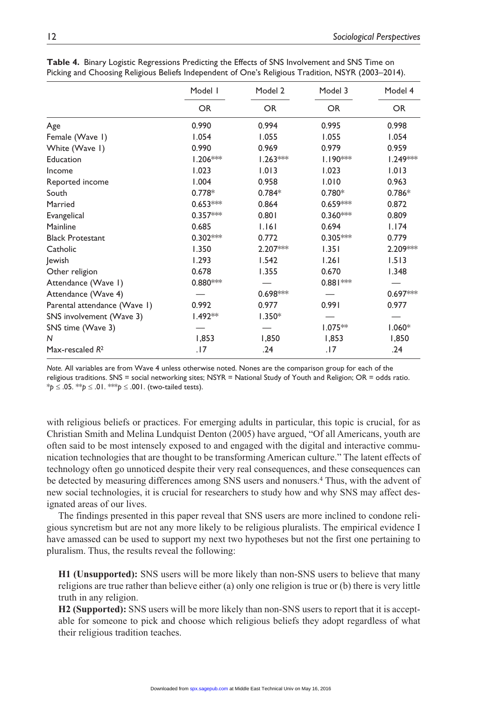|                              | Model I    | Model 2    | Model 3    | Model 4<br>OR. |  |
|------------------------------|------------|------------|------------|----------------|--|
|                              | <b>OR</b>  | <b>OR</b>  | <b>OR</b>  |                |  |
| Age                          | 0.990      | 0.994      | 0.995      | 0.998          |  |
| Female (Wave 1)              | 1.054      | 1.055      | 1.055      | 1.054          |  |
| White (Wave I)               | 0.990      | 0.969      | 0.979      | 0.959          |  |
| Education                    | $1.206***$ | $1.263***$ | $1.190***$ | 1.249***       |  |
| Income                       | 1.023      | 1.013      | 1.023      | 1.013          |  |
| Reported income              | 1.004      | 0.958      | 1.010      | 0.963          |  |
| South                        | $0.778*$   | $0.784*$   | $0.780*$   | $0.786*$       |  |
| Married                      | $0.653***$ | 0.864      | $0.659***$ | 0.872          |  |
| Evangelical                  | $0.357***$ | 0.801      | $0.360***$ | 0.809          |  |
| Mainline                     | 0.685      | 1.161      | 0.694      | 1.174          |  |
| <b>Black Protestant</b>      | $0.302***$ | 0.772      | $0.305***$ | 0.779          |  |
| Catholic                     | 1.350      | 2.207***   | 1.351      | 2.209***       |  |
| lewish                       | 1.293      | 1.542      | 1.261      | 1.513          |  |
| Other religion               | 0.678      | 1.355      | 0.670      | 1.348          |  |
| Attendance (Wave I)          | $0.880***$ |            | $0.881***$ |                |  |
| Attendance (Wave 4)          |            | $0.698***$ |            | $0.697***$     |  |
| Parental attendance (Wave 1) | 0.992      | 0.977      | 0.991      | 0.977          |  |
| SNS involvement (Wave 3)     | $1.492**$  | $1.350*$   |            |                |  |
| SNS time (Wave 3)            |            |            | $1.075**$  | $1.060*$       |  |
| N                            | 1,853      | 1,850      | 1,853      | 1,850          |  |
| Max-rescaled $R^2$           | .17        | .24        | .17        | .24            |  |

**Table 4.** Binary Logistic Regressions Predicting the Effects of SNS Involvement and SNS Time on Picking and Choosing Religious Beliefs Independent of One's Religious Tradition, NSYR (2003–2014).

*Note.* All variables are from Wave 4 unless otherwise noted. Nones are the comparison group for each of the religious traditions. SNS = social networking sites; NSYR = National Study of Youth and Religion; OR = odds ratio. \**p* ≤ .05. \*\**p* ≤ .01. \*\*\**p* ≤ .001. (two-tailed tests).

with religious beliefs or practices. For emerging adults in particular, this topic is crucial, for as Christian Smith and Melina Lundquist Denton (2005) have argued, "Of all Americans, youth are often said to be most intensely exposed to and engaged with the digital and interactive communication technologies that are thought to be transforming American culture." The latent effects of technology often go unnoticed despite their very real consequences, and these consequences can be detected by measuring differences among SNS users and nonusers.4 Thus, with the advent of new social technologies, it is crucial for researchers to study how and why SNS may affect designated areas of our lives.

The findings presented in this paper reveal that SNS users are more inclined to condone religious syncretism but are not any more likely to be religious pluralists. The empirical evidence I have amassed can be used to support my next two hypotheses but not the first one pertaining to pluralism. Thus, the results reveal the following:

**H1 (Unsupported):** SNS users will be more likely than non-SNS users to believe that many religions are true rather than believe either (a) only one religion is true or (b) there is very little truth in any religion.

**H2 (Supported):** SNS users will be more likely than non-SNS users to report that it is acceptable for someone to pick and choose which religious beliefs they adopt regardless of what their religious tradition teaches.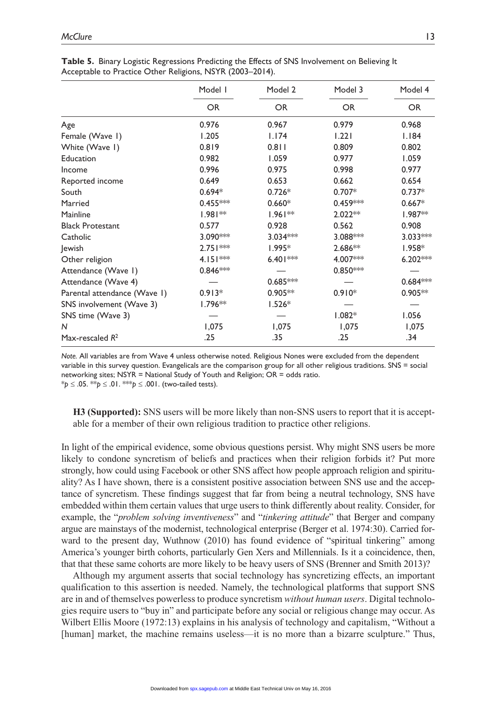|                              | Model I    | Model 2    | Model 3    | Model 4    |
|------------------------------|------------|------------|------------|------------|
|                              | <b>OR</b>  | <b>OR</b>  | <b>OR</b>  | <b>OR</b>  |
| Age                          | 0.976      | 0.967      | 0.979      | 0.968      |
| Female (Wave 1)              | 1.205      | 1.174      | 1.221      | 1.184      |
| White (Wave 1)               | 0.819      | 0.811      | 0.809      | 0.802      |
| Education                    | 0.982      | 1.059      | 0.977      | 1.059      |
| Income                       | 0.996      | 0.975      | 0.998      | 0.977      |
| Reported income              | 0.649      | 0.653      | 0.662      | 0.654      |
| South                        | $0.694*$   | $0.726*$   | $0.707*$   | $0.737*$   |
| Married                      | $0.455***$ | $0.660*$   | 0.459***   | $0.667*$   |
| Mainline                     | $1.981**$  | $1.961**$  | $2.022**$  | $1.987**$  |
| <b>Black Protestant</b>      | 0.577      | 0.928      | 0.562      | 0.908      |
| Catholic                     | 3.090***   | $3.034***$ | 3.088***   | 3.033***   |
| lewish                       | $2.751***$ | $1.995*$   | $2.686**$  | $1.958*$   |
| Other religion               | $4.151***$ | $6.401***$ | 4.007***   | $6.202***$ |
| Attendance (Wave I)          | $0.846***$ |            | $0.850***$ |            |
| Attendance (Wave 4)          |            | $0.685***$ |            | $0.684***$ |
| Parental attendance (Wave 1) | $0.913*$   | $0.905**$  | $0.910*$   | $0.905**$  |
| SNS involvement (Wave 3)     | l.796**    | $1.526*$   |            |            |
| SNS time (Wave 3)            |            |            | $1.082*$   | 1.056      |
| N                            | 1,075      | 1,075      | 1,075      | 1,075      |
| Max-rescaled $R^2$           | .25        | .35        | .25        | .34        |

**Table 5.** Binary Logistic Regressions Predicting the Effects of SNS Involvement on Believing It Acceptable to Practice Other Religions, NSYR (2003–2014).

*Note.* All variables are from Wave 4 unless otherwise noted. Religious Nones were excluded from the dependent variable in this survey question. Evangelicals are the comparison group for all other religious traditions. SNS = social networking sites; NSYR = National Study of Youth and Religion; OR = odds ratio. \**p* ≤ .05. \*\**p* ≤ .01. \*\*\**p* ≤ .001. (two-tailed tests).

**H3 (Supported):** SNS users will be more likely than non-SNS users to report that it is acceptable for a member of their own religious tradition to practice other religions.

In light of the empirical evidence, some obvious questions persist. Why might SNS users be more likely to condone syncretism of beliefs and practices when their religion forbids it? Put more strongly, how could using Facebook or other SNS affect how people approach religion and spirituality? As I have shown, there is a consistent positive association between SNS use and the acceptance of syncretism. These findings suggest that far from being a neutral technology, SNS have embedded within them certain values that urge users to think differently about reality. Consider, for example, the "*problem solving inventiveness*" and "*tinkering attitude*" that Berger and company argue are mainstays of the modernist, technological enterprise (Berger et al. 1974:30). Carried forward to the present day, Wuthnow (2010) has found evidence of "spiritual tinkering" among America's younger birth cohorts, particularly Gen Xers and Millennials. Is it a coincidence, then, that that these same cohorts are more likely to be heavy users of SNS (Brenner and Smith 2013)?

Although my argument asserts that social technology has syncretizing effects, an important qualification to this assertion is needed. Namely, the technological platforms that support SNS are in and of themselves powerless to produce syncretism *without human users*. Digital technologies require users to "buy in" and participate before any social or religious change may occur. As Wilbert Ellis Moore (1972:13) explains in his analysis of technology and capitalism, "Without a [human] market, the machine remains useless—it is no more than a bizarre sculpture." Thus,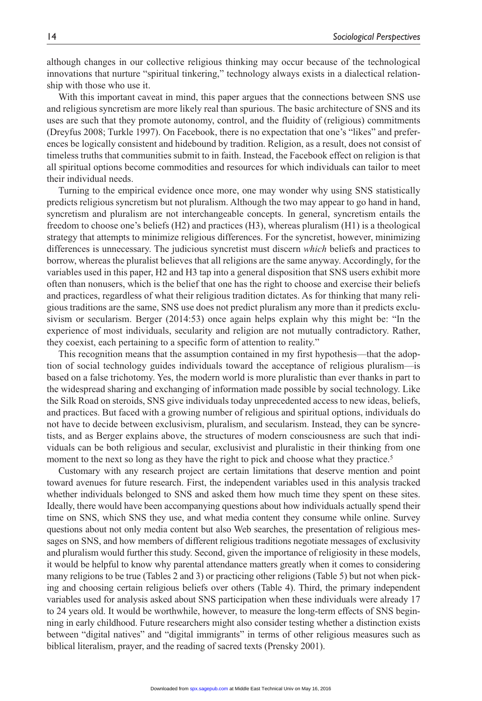although changes in our collective religious thinking may occur because of the technological innovations that nurture "spiritual tinkering," technology always exists in a dialectical relationship with those who use it.

With this important caveat in mind, this paper argues that the connections between SNS use and religious syncretism are more likely real than spurious. The basic architecture of SNS and its uses are such that they promote autonomy, control, and the fluidity of (religious) commitments (Dreyfus 2008; Turkle 1997). On Facebook, there is no expectation that one's "likes" and preferences be logically consistent and hidebound by tradition. Religion, as a result, does not consist of timeless truths that communities submit to in faith. Instead, the Facebook effect on religion is that all spiritual options become commodities and resources for which individuals can tailor to meet their individual needs.

Turning to the empirical evidence once more, one may wonder why using SNS statistically predicts religious syncretism but not pluralism. Although the two may appear to go hand in hand, syncretism and pluralism are not interchangeable concepts. In general, syncretism entails the freedom to choose one's beliefs (H2) and practices (H3), whereas pluralism (H1) is a theological strategy that attempts to minimize religious differences. For the syncretist, however, minimizing differences is unnecessary. The judicious syncretist must discern *which* beliefs and practices to borrow, whereas the pluralist believes that all religions are the same anyway. Accordingly, for the variables used in this paper, H2 and H3 tap into a general disposition that SNS users exhibit more often than nonusers, which is the belief that one has the right to choose and exercise their beliefs and practices, regardless of what their religious tradition dictates. As for thinking that many religious traditions are the same, SNS use does not predict pluralism any more than it predicts exclusivism or secularism. Berger (2014:53) once again helps explain why this might be: "In the experience of most individuals, secularity and religion are not mutually contradictory. Rather, they coexist, each pertaining to a specific form of attention to reality."

This recognition means that the assumption contained in my first hypothesis—that the adoption of social technology guides individuals toward the acceptance of religious pluralism—is based on a false trichotomy. Yes, the modern world is more pluralistic than ever thanks in part to the widespread sharing and exchanging of information made possible by social technology. Like the Silk Road on steroids, SNS give individuals today unprecedented access to new ideas, beliefs, and practices. But faced with a growing number of religious and spiritual options, individuals do not have to decide between exclusivism, pluralism, and secularism. Instead, they can be syncretists, and as Berger explains above, the structures of modern consciousness are such that individuals can be both religious and secular, exclusivist and pluralistic in their thinking from one moment to the next so long as they have the right to pick and choose what they practice.<sup>5</sup>

Customary with any research project are certain limitations that deserve mention and point toward avenues for future research. First, the independent variables used in this analysis tracked whether individuals belonged to SNS and asked them how much time they spent on these sites. Ideally, there would have been accompanying questions about how individuals actually spend their time on SNS, which SNS they use, and what media content they consume while online. Survey questions about not only media content but also Web searches, the presentation of religious messages on SNS, and how members of different religious traditions negotiate messages of exclusivity and pluralism would further this study. Second, given the importance of religiosity in these models, it would be helpful to know why parental attendance matters greatly when it comes to considering many religions to be true (Tables 2 and 3) or practicing other religions (Table 5) but not when picking and choosing certain religious beliefs over others (Table 4). Third, the primary independent variables used for analysis asked about SNS participation when these individuals were already 17 to 24 years old. It would be worthwhile, however, to measure the long-term effects of SNS beginning in early childhood. Future researchers might also consider testing whether a distinction exists between "digital natives" and "digital immigrants" in terms of other religious measures such as biblical literalism, prayer, and the reading of sacred texts (Prensky 2001).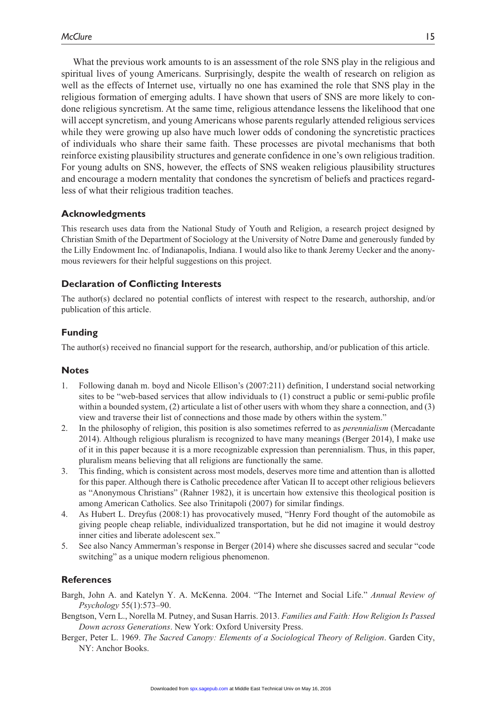What the previous work amounts to is an assessment of the role SNS play in the religious and spiritual lives of young Americans. Surprisingly, despite the wealth of research on religion as well as the effects of Internet use, virtually no one has examined the role that SNS play in the religious formation of emerging adults. I have shown that users of SNS are more likely to condone religious syncretism. At the same time, religious attendance lessens the likelihood that one will accept syncretism, and young Americans whose parents regularly attended religious services while they were growing up also have much lower odds of condoning the syncretistic practices of individuals who share their same faith. These processes are pivotal mechanisms that both reinforce existing plausibility structures and generate confidence in one's own religious tradition. For young adults on SNS, however, the effects of SNS weaken religious plausibility structures and encourage a modern mentality that condones the syncretism of beliefs and practices regardless of what their religious tradition teaches.

## **Acknowledgments**

This research uses data from the National Study of Youth and Religion, a research project designed by Christian Smith of the Department of Sociology at the University of Notre Dame and generously funded by the Lilly Endowment Inc. of Indianapolis, Indiana. I would also like to thank Jeremy Uecker and the anonymous reviewers for their helpful suggestions on this project.

# **Declaration of Conflicting Interests**

The author(s) declared no potential conflicts of interest with respect to the research, authorship, and/or publication of this article.

# **Funding**

The author(s) received no financial support for the research, authorship, and/or publication of this article.

## **Notes**

- 1. Following danah m. boyd and Nicole Ellison's (2007:211) definition, I understand social networking sites to be "web-based services that allow individuals to (1) construct a public or semi-public profile within a bounded system, (2) articulate a list of other users with whom they share a connection, and (3) view and traverse their list of connections and those made by others within the system."
- 2. In the philosophy of religion, this position is also sometimes referred to as *perennialism* (Mercadante 2014). Although religious pluralism is recognized to have many meanings (Berger 2014), I make use of it in this paper because it is a more recognizable expression than perennialism. Thus, in this paper, pluralism means believing that all religions are functionally the same.
- 3. This finding, which is consistent across most models, deserves more time and attention than is allotted for this paper. Although there is Catholic precedence after Vatican II to accept other religious believers as "Anonymous Christians" (Rahner 1982), it is uncertain how extensive this theological position is among American Catholics. See also Trinitapoli (2007) for similar findings.
- 4. As Hubert L. Dreyfus (2008:1) has provocatively mused, "Henry Ford thought of the automobile as giving people cheap reliable, individualized transportation, but he did not imagine it would destroy inner cities and liberate adolescent sex."
- 5. See also Nancy Ammerman's response in Berger (2014) where she discusses sacred and secular "code switching" as a unique modern religious phenomenon.

## **References**

- Bargh, John A. and Katelyn Y. A. McKenna. 2004. "The Internet and Social Life." *Annual Review of Psychology* 55(1):573–90.
- Bengtson, Vern L., Norella M. Putney, and Susan Harris. 2013. *Families and Faith: How Religion Is Passed Down across Generations*. New York: Oxford University Press.
- Berger, Peter L. 1969. *The Sacred Canopy: Elements of a Sociological Theory of Religion*. Garden City, NY: Anchor Books.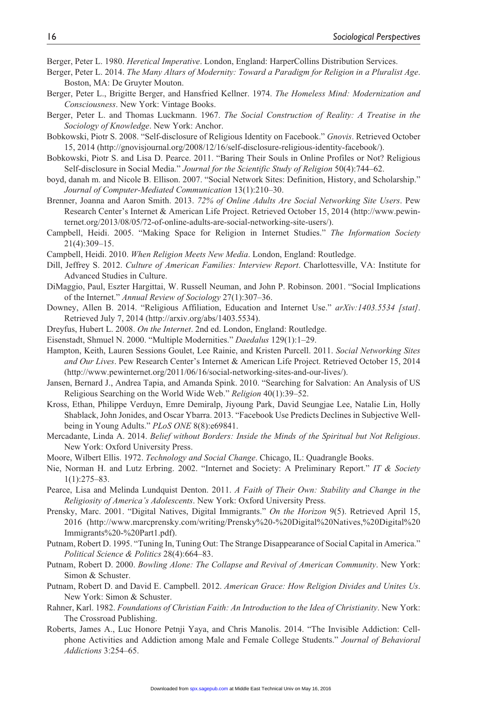Berger, Peter L. 1980. *Heretical Imperative*. London, England: HarperCollins Distribution Services.

- Berger, Peter L. 2014. *The Many Altars of Modernity: Toward a Paradigm for Religion in a Pluralist Age*. Boston, MA: De Gruyter Mouton.
- Berger, Peter L., Brigitte Berger, and Hansfried Kellner. 1974. *The Homeless Mind: Modernization and Consciousness*. New York: Vintage Books.
- Berger, Peter L. and Thomas Luckmann. 1967. *The Social Construction of Reality: A Treatise in the Sociology of Knowledge*. New York: Anchor.
- Bobkowski, Piotr S. 2008. "Self-disclosure of Religious Identity on Facebook." *Gnovis*. Retrieved October 15, 2014 ([http://gnovisjournal.org/2008/12/16/self-disclosure-religious-identity-facebook/\)](http://gnovisjournal.org/2008/12/16/self-disclosure-religious-identity-facebook/).
- Bobkowski, Piotr S. and Lisa D. Pearce. 2011. "Baring Their Souls in Online Profiles or Not? Religious Self-disclosure in Social Media." *Journal for the Scientific Study of Religion* 50(4):744–62.
- boyd, danah m. and Nicole B. Ellison. 2007. "Social Network Sites: Definition, History, and Scholarship." *Journal of Computer-Mediated Communication* 13(1):210–30.
- Brenner, Joanna and Aaron Smith. 2013. *72% of Online Adults Are Social Networking Site Users*. Pew Research Center's Internet & American Life Project. Retrieved October 15, 2014 ([http://www.pewin](http://www.pewinternet.org/2013/08/05/72-of-online-adults-are-social-networking-site-users/)[ternet.org/2013/08/05/72-of-online-adults-are-social-networking-site-users/\)](http://www.pewinternet.org/2013/08/05/72-of-online-adults-are-social-networking-site-users/).
- Campbell, Heidi. 2005. "Making Space for Religion in Internet Studies." *The Information Society* 21(4):309–15.
- Campbell, Heidi. 2010. *When Religion Meets New Media*. London, England: Routledge.
- Dill, Jeffrey S. 2012. *Culture of American Families: Interview Report*. Charlottesville, VA: Institute for Advanced Studies in Culture.
- DiMaggio, Paul, Eszter Hargittai, W. Russell Neuman, and John P. Robinson. 2001. "Social Implications of the Internet." *Annual Review of Sociology* 27(1):307–36.
- Downey, Allen B. 2014. "Religious Affiliation, Education and Internet Use." *arXiv:1403.5534 [stat]*. Retrieved July 7, 2014 (<http://arxiv.org/abs/1403.5534>).
- Dreyfus, Hubert L. 2008. *On the Internet*. 2nd ed. London, England: Routledge.
- Eisenstadt, Shmuel N. 2000. "Multiple Modernities." *Daedalus* 129(1):1–29.
- Hampton, Keith, Lauren Sessions Goulet, Lee Rainie, and Kristen Purcell. 2011. *Social Networking Sites and Our Lives*. Pew Research Center's Internet & American Life Project. Retrieved October 15, 2014 (<http://www.pewinternet.org/2011/06/16/social-networking-sites-and-our-lives/>).
- Jansen, Bernard J., Andrea Tapia, and Amanda Spink. 2010. "Searching for Salvation: An Analysis of US Religious Searching on the World Wide Web." *Religion* 40(1):39–52.
- Kross, Ethan, Philippe Verduyn, Emre Demiralp, Jiyoung Park, David Seungjae Lee, Natalie Lin, Holly Shablack, John Jonides, and Oscar Ybarra. 2013. "Facebook Use Predicts Declines in Subjective Wellbeing in Young Adults." *PLoS ONE* 8(8):e69841.
- Mercadante, Linda A. 2014. *Belief without Borders: Inside the Minds of the Spiritual but Not Religious*. New York: Oxford University Press.
- Moore, Wilbert Ellis. 1972. *Technology and Social Change*. Chicago, IL: Quadrangle Books.
- Nie, Norman H. and Lutz Erbring. 2002. "Internet and Society: A Preliminary Report." *IT & Society* 1(1):275–83.
- Pearce, Lisa and Melinda Lundquist Denton. 2011. *A Faith of Their Own: Stability and Change in the Religiosity of America's Adolescents*. New York: Oxford University Press.
- Prensky, Marc. 2001. "Digital Natives, Digital Immigrants." *On the Horizon* 9(5). Retrieved April 15, 2016 [\(http://www.marcprensky.com/writing/Prensky%20-%20Digital%20Natives,%20Digital%20](http://www.marcprensky.com/writing/Prensky%20-%20Digital%20Natives,%20Digital%20Immigrants%20-%20Part1.pdf) [Immigrants%20-%20Part1.pdf\)](http://www.marcprensky.com/writing/Prensky%20-%20Digital%20Natives,%20Digital%20Immigrants%20-%20Part1.pdf).
- Putnam, Robert D. 1995. "Tuning In, Tuning Out: The Strange Disappearance of Social Capital in America." *Political Science & Politics* 28(4):664–83.
- Putnam, Robert D. 2000. *Bowling Alone: The Collapse and Revival of American Community*. New York: Simon & Schuster.
- Putnam, Robert D. and David E. Campbell. 2012. *American Grace: How Religion Divides and Unites Us*. New York: Simon & Schuster.
- Rahner, Karl. 1982. *Foundations of Christian Faith: An Introduction to the Idea of Christianity*. New York: The Crossroad Publishing.
- Roberts, James A., Luc Honore Petnji Yaya, and Chris Manolis. 2014. "The Invisible Addiction: Cellphone Activities and Addiction among Male and Female College Students." *Journal of Behavioral Addictions* 3:254–65.